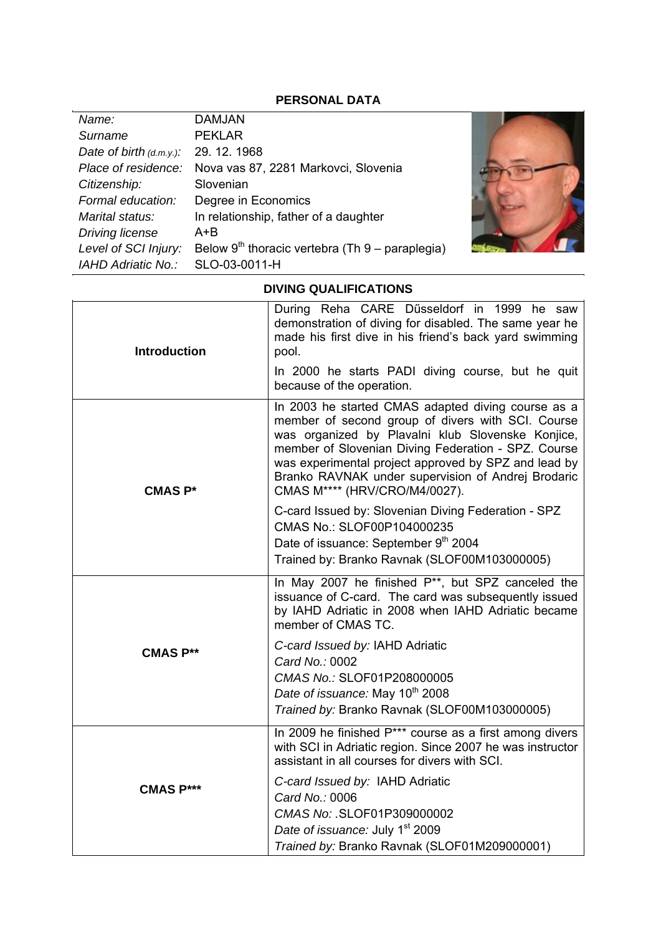## **PERSONAL DATA**

| Name:                      | <b>DAMJAN</b>                                            |  |
|----------------------------|----------------------------------------------------------|--|
| Surname                    | <b>PEKLAR</b>                                            |  |
| Date of birth $(d.m.y.)$ : | 29.12.1968                                               |  |
|                            | Place of residence: Nova vas 87, 2281 Markovci, Slovenia |  |
| Citizenship:               | Slovenian                                                |  |
| Formal education:          | Degree in Economics                                      |  |
| Marital status:            | In relationship, father of a daughter                    |  |
| <b>Driving license</b>     | A+B                                                      |  |
| Level of SCI Injury:       | Below $9^{th}$ thoracic vertebra (Th $9$ – paraplegia)   |  |
| <b>IAHD Adriatic No.:</b>  | SLO-03-0011-H                                            |  |

## **DIVING QUALIFICATIONS**

| <b>Introduction</b> | During Reha CARE Dűsseldorf in 1999 he saw<br>demonstration of diving for disabled. The same year he<br>made his first dive in his friend's back yard swimming<br>pool.                                                                                                                                                                                            |
|---------------------|--------------------------------------------------------------------------------------------------------------------------------------------------------------------------------------------------------------------------------------------------------------------------------------------------------------------------------------------------------------------|
|                     | In 2000 he starts PADI diving course, but he quit<br>because of the operation.                                                                                                                                                                                                                                                                                     |
| <b>CMAS P*</b>      | In 2003 he started CMAS adapted diving course as a<br>member of second group of divers with SCI. Course<br>was organized by Plavalni klub Slovenske Konjice,<br>member of Slovenian Diving Federation - SPZ. Course<br>was experimental project approved by SPZ and lead by<br>Branko RAVNAK under supervision of Andrej Brodaric<br>CMAS M**** (HRV/CRO/M4/0027). |
|                     | C-card Issued by: Slovenian Diving Federation - SPZ<br>CMAS No.: SLOF00P104000235<br>Date of issuance: September 9th 2004<br>Trained by: Branko Ravnak (SLOF00M103000005)                                                                                                                                                                                          |
|                     | In May 2007 he finished P <sup>**</sup> , but SPZ canceled the<br>issuance of C-card. The card was subsequently issued<br>by IAHD Adriatic in 2008 when IAHD Adriatic became<br>member of CMAS TC.                                                                                                                                                                 |
| <b>CMAS P**</b>     | C-card Issued by: IAHD Adriatic<br>Card No.: 0002<br>CMAS No.: SLOF01P208000005<br>Date of issuance: May 10 <sup>th</sup> 2008<br>Trained by: Branko Ravnak (SLOF00M103000005)                                                                                                                                                                                     |
|                     | In 2009 he finished P*** course as a first among divers<br>with SCI in Adriatic region. Since 2007 he was instructor<br>assistant in all courses for divers with SCI.                                                                                                                                                                                              |
| <b>CMAS P***</b>    | C-card Issued by: IAHD Adriatic<br>Card No.: 0006<br>CMAS No: . SLOF01P309000002<br>Date of issuance: July 1 <sup>st</sup> 2009<br>Trained by: Branko Ravnak (SLOF01M209000001)                                                                                                                                                                                    |